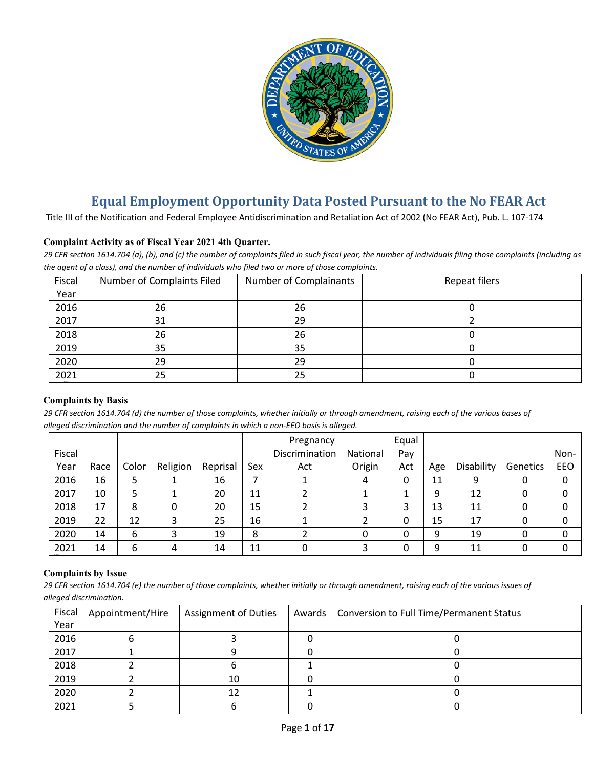

# **Equal Employment Opportunity Data Posted Pursuant to the No FEAR Act**

Title III of the Notification and Federal Employee Antidiscrimination and Retaliation Act of 2002 (No FEAR Act), Pub. L. 107-174

# **Complaint Activity as of Fiscal Year 2021 4th Quarter.**

*29 CFR section 1614.704 (a), (b), and (c) the number of complaints filed in such fiscal year, the number of individuals filing those complaints (including as the agent of a class), and the number of individuals who filed two or more of those complaints.*

| Fiscal | Number of Complaints Filed | Number of Complainants | Repeat filers |
|--------|----------------------------|------------------------|---------------|
| Year   |                            |                        |               |
| 2016   | 26                         | 26                     |               |
| 2017   | 31                         | 29                     |               |
| 2018   | 26                         | 26                     |               |
| 2019   | 35                         | 35                     |               |
| 2020   | 29                         | 29                     |               |
| 2021   | 25                         | 25                     |               |

#### **Complaints by Basis**

*29 CFR section 1614.704 (d) the number of those complaints, whether initially or through amendment, raising each of the various bases of alleged discrimination and the number of complaints in which a non-EEO basis is alleged.*

|        |      |       |          |          |     | Pregnancy      |          | Equal |     |            |          |      |
|--------|------|-------|----------|----------|-----|----------------|----------|-------|-----|------------|----------|------|
| Fiscal |      |       |          |          |     | Discrimination | National | Pay   |     |            |          | Non- |
| Year   | Race | Color | Religion | Reprisal | Sex | Act            | Origin   | Act   | Age | Disability | Genetics | EEO  |
| 2016   | 16   |       |          | 16       |     |                | 4        | 0     | 11  | 9          |          | 0    |
| 2017   | 10   |       |          | 20       | 11  |                |          |       | 9   | 12         |          | 0    |
| 2018   | 17   | 8     |          | 20       | 15  |                |          | 3     | 13  | 11         |          | 0    |
| 2019   | 22   | 12    |          | 25       | 16  |                |          | 0     | 15  | 17         |          | 0    |
| 2020   | 14   | 6     |          | 19       | 8   |                |          | 0     | 9   | 19         |          | 0    |
| 2021   | 14   | 6     | 4        | 14       | 11  |                |          | 0     | 9   | 11         |          | 0    |

#### **Complaints by Issue**

*29 CFR section 1614.704 (e) the number of those complaints, whether initially or through amendment, raising each of the various issues of alleged discrimination.*

| Fiscal | Appointment/Hire | <b>Assignment of Duties</b> | Awards | <b>Conversion to Full Time/Permanent Status</b> |
|--------|------------------|-----------------------------|--------|-------------------------------------------------|
| Year   |                  |                             |        |                                                 |
| 2016   |                  |                             |        |                                                 |
| 2017   |                  |                             |        |                                                 |
| 2018   |                  |                             |        |                                                 |
| 2019   |                  | 10                          |        |                                                 |
| 2020   |                  |                             |        |                                                 |
| 2021   |                  |                             |        |                                                 |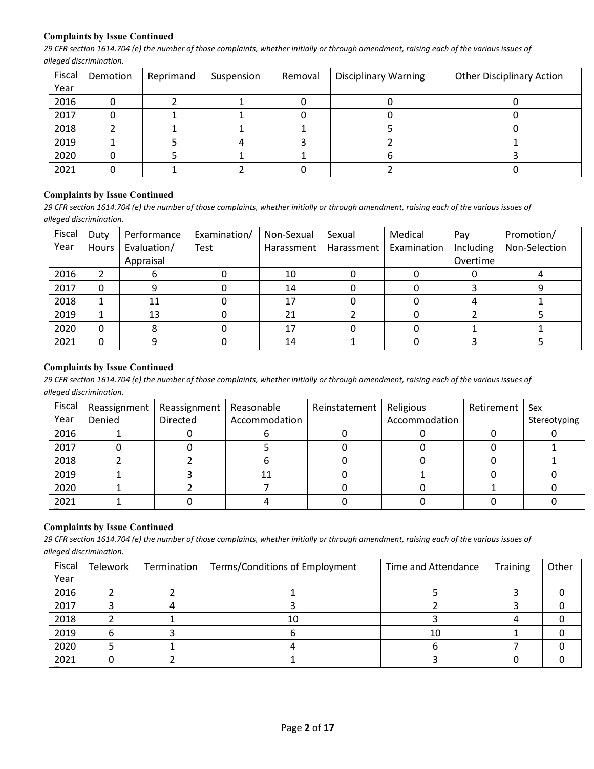## **Complaints by Issue Continued**

*29 CFR section 1614.704 (e) the number of those complaints, whether initially or through amendment, raising each of the various issues of alleged discrimination.*

| Fiscal | Demotion | Reprimand | Suspension | Removal | <b>Disciplinary Warning</b> | <b>Other Disciplinary Action</b> |
|--------|----------|-----------|------------|---------|-----------------------------|----------------------------------|
| Year   |          |           |            |         |                             |                                  |
| 2016   |          |           |            |         |                             |                                  |
| 2017   |          |           |            |         |                             |                                  |
| 2018   |          |           |            |         |                             |                                  |
| 2019   |          |           |            |         |                             |                                  |
| 2020   |          |           |            |         |                             |                                  |
| 2021   |          |           |            |         |                             |                                  |

## **Complaints by Issue Continued**

*29 CFR section 1614.704 (e) the number of those complaints, whether initially or through amendment, raising each of the various issues of alleged discrimination.*

| Fiscal | Duty  | Performance | Examination/ | Non-Sexual | Sexual     | Medical     | Pay       | Promotion/    |
|--------|-------|-------------|--------------|------------|------------|-------------|-----------|---------------|
| Year   | Hours | Evaluation/ | Test         | Harassment | Harassment | Examination | Including | Non-Selection |
|        |       | Appraisal   |              |            |            |             | Overtime  |               |
| 2016   |       |             |              | 10         |            |             |           |               |
| 2017   |       |             |              | 14         |            |             |           |               |
| 2018   |       | 11          |              | 17         |            |             |           |               |
| 2019   |       | 13          |              | 21         |            |             |           |               |
| 2020   | 0     |             |              | 17         |            |             |           |               |
| 2021   |       |             |              | 14         |            |             |           |               |

#### **Complaints by Issue Continued**

*29 CFR section 1614.704 (e) the number of those complaints, whether initially or through amendment, raising each of the various issues of alleged discrimination.*

| Fiscal | Reassignment | Reassignment   Reasonable |               | Reinstatement | Religious     | Retirement | Sex          |
|--------|--------------|---------------------------|---------------|---------------|---------------|------------|--------------|
| Year   | Denied       | Directed                  | Accommodation |               | Accommodation |            | Stereotyping |
| 2016   |              |                           |               |               |               |            |              |
| 2017   |              |                           |               |               |               |            |              |
| 2018   |              |                           |               |               |               |            |              |
| 2019   |              |                           | 11            |               |               |            |              |
| 2020   |              |                           |               |               |               |            |              |
| 2021   |              |                           |               |               |               |            |              |

# **Complaints by Issue Continued**

*29 CFR section 1614.704 (e) the number of those complaints, whether initially or through amendment, raising each of the various issues of alleged discrimination.*

| Fiscal | Telework | Termination | Terms/Conditions of Employment | Time and Attendance | <b>Training</b> | Other |
|--------|----------|-------------|--------------------------------|---------------------|-----------------|-------|
| Year   |          |             |                                |                     |                 |       |
| 2016   |          |             |                                |                     |                 |       |
| 2017   |          |             |                                |                     |                 |       |
| 2018   |          |             | 10                             |                     |                 |       |
| 2019   |          |             |                                | 10                  |                 |       |
| 2020   |          |             |                                |                     |                 |       |
| 2021   |          |             |                                |                     |                 |       |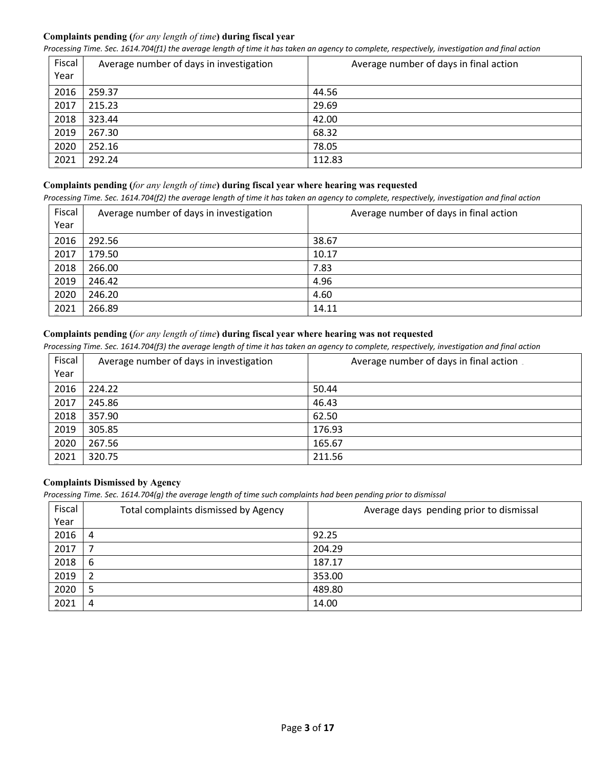# **Complaints pending (***for any length of time***) during fiscal year**

*Processing Time. Sec. 1614.704(f1) the average length of time it has taken an agency to complete, respectively, investigation and final action*

| Fiscal<br>Year | Average number of days in investigation | Average number of days in final action |
|----------------|-----------------------------------------|----------------------------------------|
| 2016           | 259.37                                  | 44.56                                  |
| 2017           | 215.23                                  | 29.69                                  |
| 2018           | 323.44                                  | 42.00                                  |
| 2019           | 267.30                                  | 68.32                                  |
| 2020           | 252.16                                  | 78.05                                  |
| 2021           | 292.24                                  | 112.83                                 |

## **Complaints pending (***for any length of time***) during fiscal year where hearing was requested**

*Processing Time. Sec. 1614.704(f2) the average length of time it has taken an agency to complete, respectively, investigation and final action*

| Fiscal<br>Year | Average number of days in investigation | Average number of days in final action |
|----------------|-----------------------------------------|----------------------------------------|
| 2016           | 292.56                                  | 38.67                                  |
| 2017           | 179.50                                  | 10.17                                  |
| 2018           | 266.00                                  | 7.83                                   |
| 2019           | 246.42                                  | 4.96                                   |
| 2020           | 246.20                                  | 4.60                                   |
| 2021           | 266.89                                  | 14.11                                  |

# **Complaints pending (***for any length of time***) during fiscal year where hearing was not requested**

*Processing Time. Sec. 1614.704(f3) the average length of time it has taken an agency to complete, respectively, investigation and final action*

| Fiscal | Average number of days in investigation | Average number of days in final action |
|--------|-----------------------------------------|----------------------------------------|
| Year   |                                         |                                        |
| 2016   | 224.22                                  | 50.44                                  |
| 2017   | 245.86                                  | 46.43                                  |
| 2018   | 357.90                                  | 62.50                                  |
| 2019   | 305.85                                  | 176.93                                 |
| 2020   | 267.56                                  | 165.67                                 |
| 2021   | 320.75                                  | 211.56                                 |

# **Complaints Dismissed by Agency**

*Processing Time. Sec. 1614.704(g) the average length of time such complaints had been pending prior to dismissal*

| Fiscal | Total complaints dismissed by Agency | Average days pending prior to dismissal |
|--------|--------------------------------------|-----------------------------------------|
| Year   |                                      |                                         |
| 2016   | 4                                    | 92.25                                   |
| 2017   |                                      | 204.29                                  |
| 2018   | 6                                    | 187.17                                  |
| 2019   | $\overline{2}$                       | 353.00                                  |
| 2020   | 5                                    | 489.80                                  |
| 2021   | 4                                    | 14.00                                   |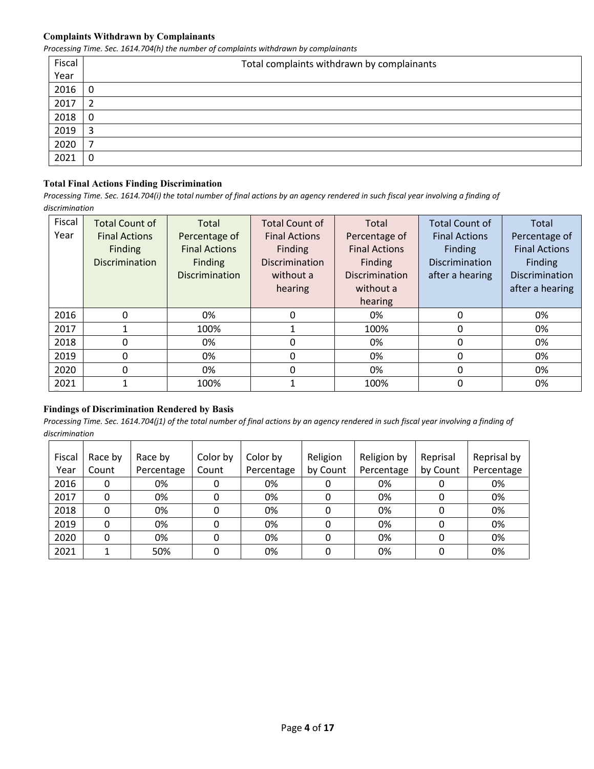#### **Complaints Withdrawn by Complainants**

*Processing Time. Sec. 1614.704(h) the number of complaints withdrawn by complainants*

| Fiscal | Total complaints withdrawn by complainants |
|--------|--------------------------------------------|
| Year   |                                            |
| 2016   | 0                                          |
| 2017   | 2                                          |
| 2018   | 0                                          |
| 2019   | 3                                          |
| 2020   | ⇁                                          |
| 2021   | 0                                          |

# **Total Final Actions Finding Discrimination**

*Processing Time. Sec. 1614.704(i) the total number of final actions by an agency rendered in such fiscal year involving a finding of discrimination* 

| Fiscal | <b>Total Count of</b> | Total                 | <b>Total Count of</b> | Total                 | <b>Total Count of</b> | Total                |
|--------|-----------------------|-----------------------|-----------------------|-----------------------|-----------------------|----------------------|
| Year   | <b>Final Actions</b>  | Percentage of         | <b>Final Actions</b>  | Percentage of         | <b>Final Actions</b>  | Percentage of        |
|        | Finding               | <b>Final Actions</b>  | Finding               | <b>Final Actions</b>  | Finding               | <b>Final Actions</b> |
|        | <b>Discrimination</b> | Finding               | <b>Discrimination</b> | Finding               | <b>Discrimination</b> | Finding              |
|        |                       | <b>Discrimination</b> | without a             | <b>Discrimination</b> | after a hearing       | Discrimination       |
|        |                       |                       | hearing               | without a             |                       | after a hearing      |
|        |                       |                       |                       | hearing               |                       |                      |
| 2016   | $\Omega$              | 0%                    | 0                     | 0%                    | 0                     | 0%                   |
| 2017   |                       | 100%                  |                       | 100%                  | 0                     | 0%                   |
| 2018   | 0                     | 0%                    | 0                     | 0%                    | 0                     | 0%                   |
| 2019   | 0                     | 0%                    | 0                     | 0%                    | 0                     | 0%                   |
| 2020   | 0                     | 0%                    | 0                     | 0%                    | 0                     | 0%                   |
| 2021   |                       | 100%                  |                       | 100%                  | 0                     | 0%                   |

#### **Findings of Discrimination Rendered by Basis**

| Fiscal | Race by | Race by    | Color by | Color by   | Religion | Religion by | Reprisal | Reprisal by |
|--------|---------|------------|----------|------------|----------|-------------|----------|-------------|
| Year   | Count   | Percentage | Count    | Percentage | by Count | Percentage  | by Count | Percentage  |
| 2016   | 0       | 0%         |          | 0%         |          | 0%          |          | 0%          |
| 2017   | 0       | 0%         |          | 0%         |          | 0%          |          | 0%          |
| 2018   |         | 0%         |          | 0%         |          | 0%          | 0        | 0%          |
| 2019   | 0       | 0%         |          | 0%         | 0        | 0%          |          | 0%          |
| 2020   | 0       | 0%         |          | 0%         | 0        | 0%          | 0        | 0%          |
| 2021   |         | 50%        |          | 0%         |          | 0%          |          | 0%          |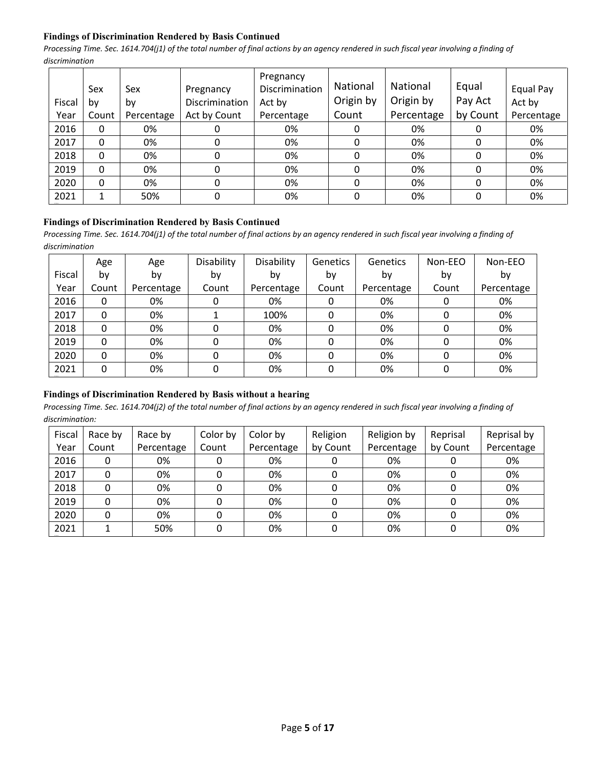# **Findings of Discrimination Rendered by Basis Continued**

*Processing Time. Sec. 1614.704(j1) of the total number of final actions by an agency rendered in such fiscal year involving a finding of discrimination* 

| Fiscal | Sex<br>b٧ | Sex<br>by  | Pregnancy<br>Discrimination | Pregnancy<br>Discrimination<br>Act by | <b>National</b><br>Origin by | National<br>Origin by | Equal<br>Pay Act | Equal Pay<br>Act by |
|--------|-----------|------------|-----------------------------|---------------------------------------|------------------------------|-----------------------|------------------|---------------------|
| Year   | Count     | Percentage | Act by Count                | Percentage                            | Count                        | Percentage            | by Count         | Percentage          |
| 2016   | 0         | 0%         | O                           | 0%                                    | 0                            | 0%                    |                  | 0%                  |
| 2017   | 0         | 0%         | 0                           | 0%                                    | 0                            | 0%                    | 0                | 0%                  |
| 2018   | 0         | 0%         | 0                           | 0%                                    | 0                            | 0%                    | 0                | 0%                  |
| 2019   | 0         | 0%         | 0                           | 0%                                    | 0                            | 0%                    | 0                | 0%                  |
| 2020   | 0         | 0%         | 0                           | 0%                                    | 0                            | 0%                    | 0                | 0%                  |
| 2021   |           | 50%        | 0                           | 0%                                    | 0                            | 0%                    | 0                | 0%                  |

# **Findings of Discrimination Rendered by Basis Continued**

Processing Time. Sec. 1614.704(j1) of the total number of final actions by an agency rendered in such fiscal year involving a finding of *discrimination* 

|        | Age   | Age        | Disability | Disability | <b>Genetics</b> | Genetics   | Non-EEO | Non-EEO    |
|--------|-------|------------|------------|------------|-----------------|------------|---------|------------|
| Fiscal | by    | by         | by         | by         | by              | by         | by      | by         |
| Year   | Count | Percentage | Count      | Percentage | Count           | Percentage | Count   | Percentage |
| 2016   | 0     | 0%         | 0          | 0%         | 0               | 0%         | 0       | 0%         |
| 2017   | 0     | 0%         |            | 100%       | 0               | 0%         |         | 0%         |
| 2018   | 0     | 0%         | 0          | 0%         | 0               | 0%         | 0       | 0%         |
| 2019   | 0     | 0%         | 0          | 0%         | 0               | 0%         | 0       | 0%         |
| 2020   | 0     | 0%         | 0          | 0%         | 0               | 0%         | 0       | 0%         |
| 2021   | 0     | 0%         | 0          | 0%         | 0               | 0%         | 0       | 0%         |

# **Findings of Discrimination Rendered by Basis without a hearing**

| Fiscal | Race by | Race by    | Color by | Color by   | Religion | Religion by | Reprisal | Reprisal by |
|--------|---------|------------|----------|------------|----------|-------------|----------|-------------|
| Year   | Count   | Percentage | Count    | Percentage | by Count | Percentage  | by Count | Percentage  |
| 2016   |         | 0%         |          | 0%         |          | 0%          |          | 0%          |
| 2017   |         | 0%         |          | 0%         |          | 0%          |          | 0%          |
| 2018   |         | 0%         |          | 0%         |          | 0%          |          | 0%          |
| 2019   |         | 0%         |          | 0%         |          | 0%          |          | 0%          |
| 2020   | 0       | 0%         |          | 0%         |          | 0%          |          | 0%          |
| 2021   |         | 50%        |          | 0%         |          | 0%          |          | 0%          |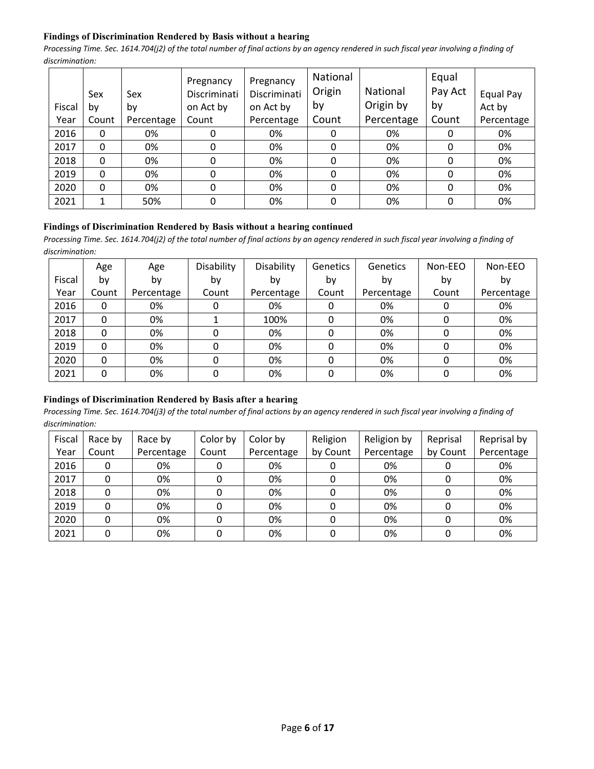# **Findings of Discrimination Rendered by Basis without a hearing**

*Processing Time. Sec. 1614.704(j2) of the total number of final actions by an agency rendered in such fiscal year involving a finding of discrimination:* 

|        | Sex      | Sex        | Pregnancy<br>Discriminati | Pregnancy<br>Discriminati | National<br>Origin | National   | Equal<br>Pay Act | Equal Pay  |
|--------|----------|------------|---------------------------|---------------------------|--------------------|------------|------------------|------------|
| Fiscal | by       | by         | on Act by                 | on Act by                 | by                 | Origin by  | by               | Act by     |
| Year   | Count    | Percentage | Count                     | Percentage                | Count              | Percentage | Count            | Percentage |
| 2016   | 0        | 0%         |                           | 0%                        |                    | 0%         | 0                | 0%         |
| 2017   | $\Omega$ | 0%         | 0                         | 0%                        | 0                  | 0%         | 0                | 0%         |
| 2018   | 0        | 0%         | 0                         | 0%                        | 0                  | 0%         | 0                | 0%         |
| 2019   | $\Omega$ | 0%         | 0                         | 0%                        | 0                  | 0%         | 0                | 0%         |
| 2020   | $\Omega$ | 0%         | 0                         | 0%                        | 0                  | 0%         | $\Omega$         | 0%         |
| 2021   | 1        | 50%        | 0                         | 0%                        | 0                  | 0%         | 0                | 0%         |

#### **Findings of Discrimination Rendered by Basis without a hearing continued**

*Processing Time. Sec. 1614.704(j2) of the total number of final actions by an agency rendered in such fiscal year involving a finding of discrimination:* 

|        | Age   | Age        | Disability | Disability | Genetics | Genetics   | Non-EEO | Non-EEO    |
|--------|-------|------------|------------|------------|----------|------------|---------|------------|
| Fiscal | b٧    | by         | by         | bv         | by       | by         | by      | by         |
| Year   | Count | Percentage | Count      | Percentage | Count    | Percentage | Count   | Percentage |
| 2016   | 0     | 0%         |            | 0%         | 0        | 0%         |         | 0%         |
| 2017   | 0     | 0%         |            | 100%       |          | 0%         |         | 0%         |
| 2018   | 0     | 0%         |            | 0%         |          | 0%         |         | 0%         |
| 2019   | 0     | 0%         |            | 0%         |          | 0%         |         | 0%         |
| 2020   | 0     | 0%         |            | 0%         |          | 0%         |         | 0%         |
| 2021   | 0     | 0%         | O          | 0%         | 0        | 0%         |         | 0%         |

## **Findings of Discrimination Rendered by Basis after a hearing**

| Fiscal | Race by | Race by    | Color by | Color by   | Religion | Religion by | Reprisal | Reprisal by |
|--------|---------|------------|----------|------------|----------|-------------|----------|-------------|
| Year   | Count   | Percentage | Count    | Percentage | by Count | Percentage  | by Count | Percentage  |
| 2016   | 0       | 0%         |          | 0%         |          | 0%          |          | 0%          |
| 2017   | 0       | 0%         |          | 0%         |          | 0%          |          | 0%          |
| 2018   | 0       | 0%         |          | 0%         |          | 0%          |          | 0%          |
| 2019   |         | 0%         |          | 0%         |          | 0%          |          | 0%          |
| 2020   |         | 0%         |          | 0%         |          | 0%          |          | 0%          |
| 2021   |         | 0%         |          | 0%         |          | 0%          |          | 0%          |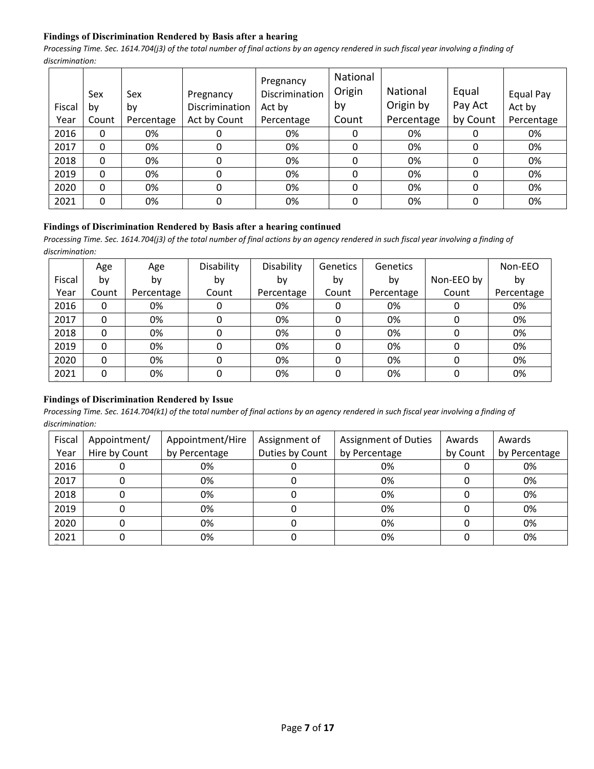# **Findings of Discrimination Rendered by Basis after a hearing**

*Processing Time. Sec. 1614.704(j3) of the total number of final actions by an agency rendered in such fiscal year involving a finding of discrimination:* 

|        | Sex   | Sex        | Pregnancy      | Pregnancy<br>Discrimination | National<br>Origin | National<br>Origin by | Equal<br>Pay Act | Equal Pay  |
|--------|-------|------------|----------------|-----------------------------|--------------------|-----------------------|------------------|------------|
| Fiscal | by    | by         | Discrimination | Act by                      | by                 |                       |                  | Act by     |
| Year   | Count | Percentage | Act by Count   | Percentage                  | Count              | Percentage            | by Count         | Percentage |
| 2016   | 0     | 0%         |                | 0%                          | 0                  | 0%                    | 0                | 0%         |
| 2017   | 0     | 0%         | 0              | 0%                          | 0                  | 0%                    | 0                | 0%         |
| 2018   | 0     | 0%         | 0              | 0%                          | 0                  | 0%                    | 0                | 0%         |
| 2019   | 0     | 0%         | 0              | 0%                          | 0                  | 0%                    | 0                | 0%         |
| 2020   | 0     | 0%         | 0              | 0%                          | 0                  | 0%                    | 0                | 0%         |
| 2021   | 0     | 0%         | 0              | 0%                          | 0                  | 0%                    | 0                | 0%         |

#### **Findings of Discrimination Rendered by Basis after a hearing continued**

*Processing Time. Sec. 1614.704(j3) of the total number of final actions by an agency rendered in such fiscal year involving a finding of discrimination:* 

|        | Age   | Age        | Disability | Disability | <b>Genetics</b> | <b>Genetics</b> |            | Non-EEO    |
|--------|-------|------------|------------|------------|-----------------|-----------------|------------|------------|
| Fiscal | b٧    | by         | by         | bv         | by              | by              | Non-EEO by | by         |
| Year   | Count | Percentage | Count      | Percentage | Count           | Percentage      | Count      | Percentage |
| 2016   | 0     | 0%         | 0          | 0%         | 0               | 0%              | 0          | 0%         |
| 2017   | 0     | 0%         | 0          | 0%         | 0               | 0%              | 0          | 0%         |
| 2018   | 0     | 0%         | 0          | 0%         | 0               | 0%              | 0          | 0%         |
| 2019   | 0     | 0%         | 0          | 0%         | 0               | 0%              | 0          | 0%         |
| 2020   | 0     | 0%         | 0          | 0%         | 0               | 0%              | 0          | 0%         |
| 2021   | 0     | 0%         | 0          | 0%         | $\Omega$        | 0%              | 0          | 0%         |

#### **Findings of Discrimination Rendered by Issue**

| Fiscal<br>Year | Appointment/<br>Hire by Count | Appointment/Hire<br>by Percentage | Assignment of<br>Duties by Count | <b>Assignment of Duties</b><br>by Percentage | Awards<br>by Count | Awards<br>by Percentage |
|----------------|-------------------------------|-----------------------------------|----------------------------------|----------------------------------------------|--------------------|-------------------------|
|                |                               |                                   |                                  |                                              |                    |                         |
| 2016           |                               | 0%                                |                                  | 0%                                           |                    | 0%                      |
| 2017           |                               | 0%                                |                                  | 0%                                           |                    | 0%                      |
| 2018           |                               | 0%                                |                                  | 0%                                           |                    | 0%                      |
| 2019           |                               | 0%                                |                                  | 0%                                           |                    | 0%                      |
| 2020           |                               | 0%                                |                                  | 0%                                           |                    | 0%                      |
| 2021           |                               | 0%                                |                                  | 0%                                           |                    | 0%                      |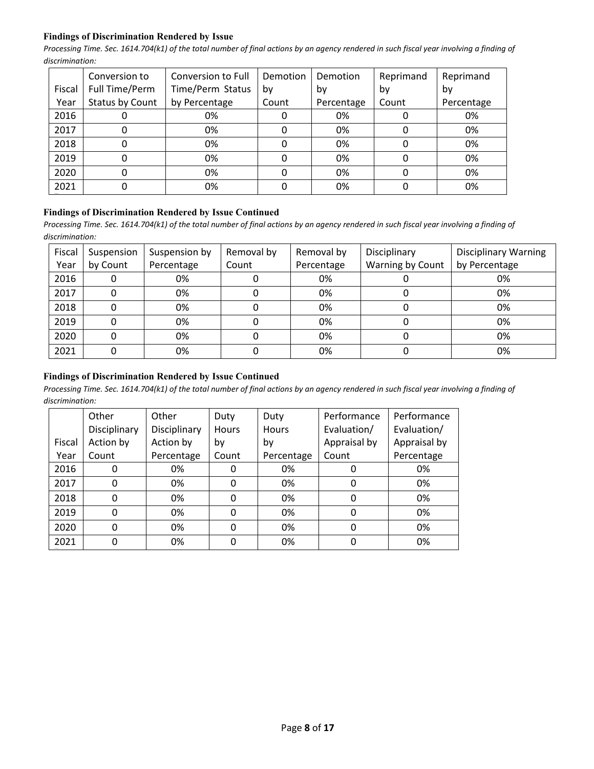## **Findings of Discrimination Rendered by Issue**

*Processing Time. Sec. 1614.704(k1) of the total number of final actions by an agency rendered in such fiscal year involving a finding of discrimination:* 

|        | Conversion to   | Conversion to Full | Demotion | Demotion   | Reprimand | Reprimand  |
|--------|-----------------|--------------------|----------|------------|-----------|------------|
| Fiscal | Full Time/Perm  | Time/Perm Status   | bv       | bv         | bv        | bv         |
| Year   | Status by Count | by Percentage      | Count    | Percentage | Count     | Percentage |
| 2016   | O               | 0%                 |          | 0%         |           | 0%         |
| 2017   | 0               | 0%                 | 0        | 0%         | 0         | 0%         |
| 2018   | 0               | 0%                 |          | 0%         | 0         | 0%         |
| 2019   | 0               | 0%                 |          | 0%         | O         | 0%         |
| 2020   | 0               | 0%                 |          | 0%         | 0         | 0%         |
| 2021   | 0               | 0%                 |          | 0%         |           | 0%         |

#### **Findings of Discrimination Rendered by Issue Continued**

*Processing Time. Sec. 1614.704(k1) of the total number of final actions by an agency rendered in such fiscal year involving a finding of discrimination:* 

| Fiscal | Suspension | Suspension by | Removal by | Removal by | Disciplinary     | <b>Disciplinary Warning</b> |
|--------|------------|---------------|------------|------------|------------------|-----------------------------|
| Year   | by Count   | Percentage    | Count      | Percentage | Warning by Count | by Percentage               |
| 2016   |            | 0%            |            | 0%         |                  | 0%                          |
| 2017   |            | 0%            |            | 0%         |                  | 0%                          |
| 2018   |            | 0%            |            | 0%         |                  | 0%                          |
| 2019   |            | 0%            |            | 0%         |                  | 0%                          |
| 2020   |            | 0%            |            | 0%         |                  | 0%                          |
| 2021   |            | 0%            |            | 0%         |                  | 0%                          |

# **Findings of Discrimination Rendered by Issue Continued**

|        | Other        | Other        | Duty     | Duty         | Performance  | Performance  |
|--------|--------------|--------------|----------|--------------|--------------|--------------|
|        | Disciplinary | Disciplinary | Hours    | <b>Hours</b> | Evaluation/  | Evaluation/  |
| Fiscal | Action by    | Action by    | by       | by           | Appraisal by | Appraisal by |
| Year   | Count        | Percentage   | Count    | Percentage   | Count        | Percentage   |
| 2016   | 0            | 0%           | 0        | 0%           | 0            | 0%           |
| 2017   | $\mathbf{0}$ | 0%           | 0        | 0%           | 0            | 0%           |
| 2018   | 0            | 0%           | 0        | 0%           | 0            | 0%           |
| 2019   | 0            | 0%           | $\Omega$ | 0%           | 0            | 0%           |
| 2020   | 0            | 0%           | 0        | 0%           | 0            | 0%           |
| 2021   | 0            | 0%           |          | 0%           | 0            | 0%           |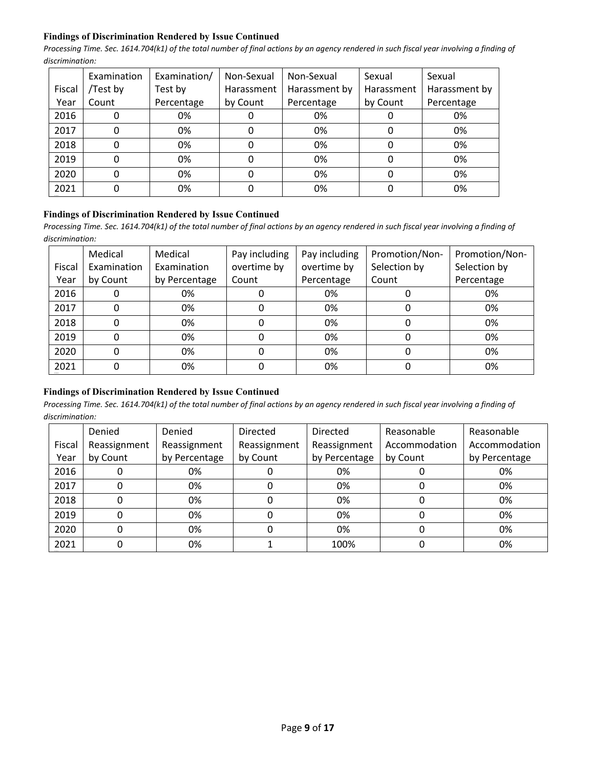## **Findings of Discrimination Rendered by Issue Continued**

*Processing Time. Sec. 1614.704(k1) of the total number of final actions by an agency rendered in such fiscal year involving a finding of discrimination:* 

|        | Examination | Examination/ | Non-Sexual | Non-Sexual    | Sexual     | Sexual        |
|--------|-------------|--------------|------------|---------------|------------|---------------|
| Fiscal | /Test by    | Test by      | Harassment | Harassment by | Harassment | Harassment by |
| Year   | Count       | Percentage   | by Count   | Percentage    | by Count   | Percentage    |
| 2016   |             | 0%           |            | 0%            |            | 0%            |
| 2017   |             | 0%           |            | 0%            |            | 0%            |
| 2018   |             | 0%           |            | 0%            |            | 0%            |
| 2019   |             | 0%           |            | 0%            |            | 0%            |
| 2020   |             | 0%           |            | 0%            |            | 0%            |
| 2021   |             | 0%           |            | 0%            |            | 0%            |

## **Findings of Discrimination Rendered by Issue Continued**

*Processing Time. Sec. 1614.704(k1) of the total number of final actions by an agency rendered in such fiscal year involving a finding of discrimination:* 

|        | Medical     | Medical       | Pay including | Pay including | Promotion/Non- | Promotion/Non- |
|--------|-------------|---------------|---------------|---------------|----------------|----------------|
| Fiscal | Examination | Examination   | overtime by   | overtime by   | Selection by   | Selection by   |
| Year   | by Count    | by Percentage | Count         | Percentage    | Count          | Percentage     |
| 2016   | 0           | 0%            |               | 0%            |                | 0%             |
| 2017   | 0           | 0%            |               | 0%            |                | 0%             |
| 2018   | 0           | 0%            |               | 0%            |                | 0%             |
| 2019   | 0           | 0%            |               | 0%            |                | 0%             |
| 2020   | 0           | 0%            |               | 0%            |                | 0%             |
| 2021   | 0           | 0%            |               | 0%            |                | 0%             |

# **Findings of Discrimination Rendered by Issue Continued**

|        | Denied       | Denied        | <b>Directed</b> | <b>Directed</b> | Reasonable    | Reasonable    |
|--------|--------------|---------------|-----------------|-----------------|---------------|---------------|
| Fiscal | Reassignment | Reassignment  | Reassignment    | Reassignment    | Accommodation | Accommodation |
| Year   | by Count     | by Percentage | by Count        | by Percentage   | by Count      | by Percentage |
| 2016   |              | 0%            |                 | 0%              |               | 0%            |
| 2017   |              | 0%            | 0               | 0%              |               | 0%            |
| 2018   |              | 0%            |                 | 0%              |               | 0%            |
| 2019   |              | 0%            |                 | 0%              |               | 0%            |
| 2020   |              | 0%            |                 | 0%              |               | 0%            |
| 2021   |              | 0%            |                 | 100%            |               | 0%            |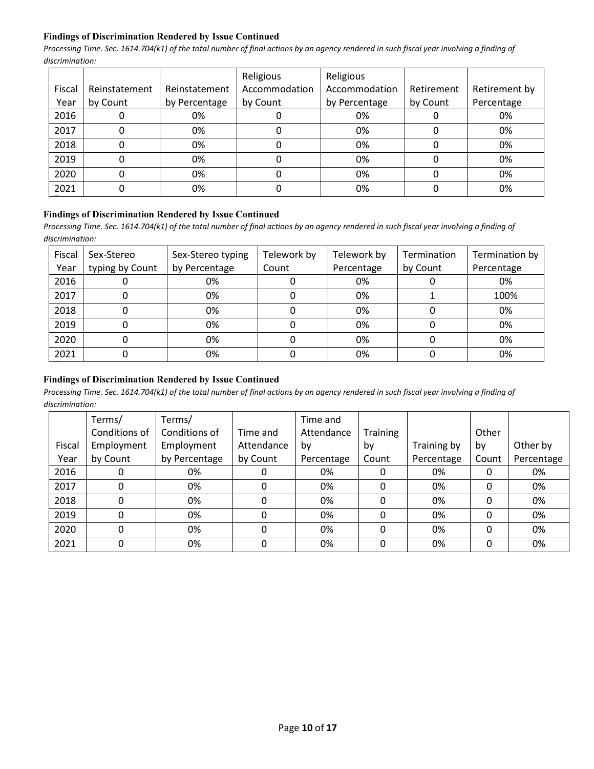## **Findings of Discrimination Rendered by Issue Continued**

*Processing Time. Sec. 1614.704(k1) of the total number of final actions by an agency rendered in such fiscal year involving a finding of discrimination:* 

|        |               |               | Religious     | Religious     |            |               |
|--------|---------------|---------------|---------------|---------------|------------|---------------|
| Fiscal | Reinstatement | Reinstatement | Accommodation | Accommodation | Retirement | Retirement by |
| Year   | by Count      | by Percentage | by Count      | by Percentage | by Count   | Percentage    |
| 2016   |               | 0%            |               | 0%            |            | 0%            |
| 2017   |               | 0%            |               | 0%            |            | 0%            |
| 2018   |               | 0%            |               | 0%            |            | 0%            |
| 2019   |               | 0%            |               | 0%            |            | 0%            |
| 2020   |               | 0%            |               | 0%            |            | 0%            |
| 2021   |               | 0%            |               | 0%            |            | 0%            |

#### **Findings of Discrimination Rendered by Issue Continued**

Processing Time. Sec. 1614.704(k1) of the total number of final actions by an agency rendered in such fiscal year involving a finding of *discrimination:* 

| Fiscal<br>Year | Sex-Stereo<br>typing by Count | Sex-Stereo typing<br>by Percentage | Telework by<br>Count | Telework by<br>Percentage | Termination<br>by Count | Termination by<br>Percentage |
|----------------|-------------------------------|------------------------------------|----------------------|---------------------------|-------------------------|------------------------------|
| 2016           |                               | 0%                                 |                      | 0%                        |                         | 0%                           |
| 2017           |                               | 0%                                 |                      | 0%                        |                         | 100%                         |
| 2018           |                               | 0%                                 |                      | 0%                        |                         | 0%                           |
| 2019           |                               | 0%                                 |                      | 0%                        |                         | 0%                           |
| 2020           |                               | 0%                                 |                      | 0%                        |                         | 0%                           |
| 2021           |                               | 0%                                 |                      | 0%                        |                         | 0%                           |

# **Findings of Discrimination Rendered by Issue Continued**

|        | Terms/        | Terms/        |            | Time and   |                 |             |       |            |
|--------|---------------|---------------|------------|------------|-----------------|-------------|-------|------------|
|        | Conditions of | Conditions of | Time and   | Attendance | <b>Training</b> |             | Other |            |
| Fiscal | Employment    | Employment    | Attendance | by         | by              | Training by | by    | Other by   |
| Year   | by Count      | by Percentage | by Count   | Percentage | Count           | Percentage  | Count | Percentage |
| 2016   | 0             | 0%            |            | 0%         |                 | 0%          | 0     | 0%         |
| 2017   | 0             | 0%            | 0          | 0%         | 0               | 0%          | 0     | 0%         |
| 2018   | 0             | 0%            | 0          | 0%         | 0               | 0%          | 0     | 0%         |
| 2019   | 0             | 0%            | 0          | 0%         | 0               | 0%          | 0     | 0%         |
| 2020   | 0             | 0%            | 0          | 0%         | 0               | 0%          | 0     | 0%         |
| 2021   | 0             | 0%            | 0          | 0%         | 0               | 0%          | 0     | 0%         |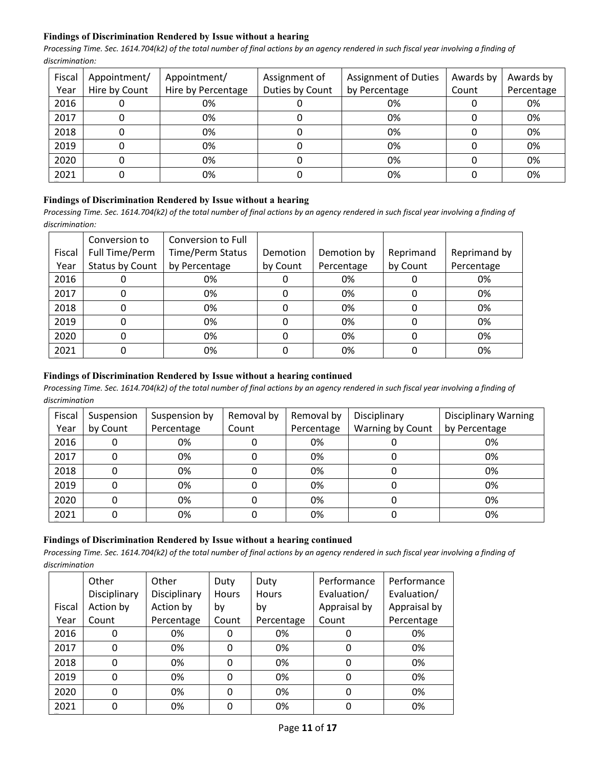# **Findings of Discrimination Rendered by Issue without a hearing**

*Processing Time. Sec. 1614.704(k2) of the total number of final actions by an agency rendered in such fiscal year involving a finding of discrimination:* 

| Fiscal | Appointment/  | Appointment/       | Assignment of   | <b>Assignment of Duties</b> | Awards by | Awards by  |
|--------|---------------|--------------------|-----------------|-----------------------------|-----------|------------|
| Year   | Hire by Count | Hire by Percentage | Duties by Count | by Percentage               | Count     | Percentage |
| 2016   |               | 0%                 |                 | 0%                          |           | 0%         |
| 2017   |               | 0%                 |                 | 0%                          |           | 0%         |
| 2018   |               | 0%                 |                 | 0%                          |           | 0%         |
| 2019   | 0             | 0%                 | 0               | 0%                          |           | 0%         |
| 2020   |               | 0%                 |                 | 0%                          |           | 0%         |
| 2021   |               | 0%                 |                 | 0%                          |           | 0%         |

# **Findings of Discrimination Rendered by Issue without a hearing**

*Processing Time. Sec. 1614.704(k2) of the total number of final actions by an agency rendered in such fiscal year involving a finding of discrimination:* 

|        | Conversion to   | Conversion to Full      |          |             |           |              |
|--------|-----------------|-------------------------|----------|-------------|-----------|--------------|
| Fiscal | Full Time/Perm  | <b>Time/Perm Status</b> | Demotion | Demotion by | Reprimand | Reprimand by |
| Year   | Status by Count | by Percentage           | by Count | Percentage  | by Count  | Percentage   |
| 2016   |                 | 0%                      |          | 0%          |           | 0%           |
| 2017   |                 | 0%                      |          | 0%          |           | 0%           |
| 2018   |                 | 0%                      |          | 0%          |           | 0%           |
| 2019   |                 | 0%                      |          | 0%          |           | 0%           |
| 2020   |                 | 0%                      |          | 0%          |           | 0%           |
| 2021   |                 | 0%                      |          | 0%          |           | 0%           |

# **Findings of Discrimination Rendered by Issue without a hearing continued**

*Processing Time. Sec. 1614.704(k2) of the total number of final actions by an agency rendered in such fiscal year involving a finding of discrimination*

| Fiscal | Suspension | Suspension by | Removal by | Removal by | Disciplinary     | <b>Disciplinary Warning</b> |
|--------|------------|---------------|------------|------------|------------------|-----------------------------|
| Year   | by Count   | Percentage    | Count      | Percentage | Warning by Count | by Percentage               |
| 2016   |            | 0%            |            | 0%         |                  | 0%                          |
| 2017   |            | 0%            |            | 0%         |                  | 0%                          |
| 2018   |            | 0%            |            | 0%         |                  | 0%                          |
| 2019   |            | 0%            |            | 0%         |                  | 0%                          |
| 2020   |            | 0%            |            | 0%         |                  | 0%                          |
| 2021   |            | 0%            |            | 0%         |                  | 0%                          |

# **Findings of Discrimination Rendered by Issue without a hearing continued**

|        | Other        | Other        | Duty  | Duty         | Performance  | Performance  |
|--------|--------------|--------------|-------|--------------|--------------|--------------|
|        | Disciplinary | Disciplinary | Hours | <b>Hours</b> | Evaluation/  | Evaluation/  |
| Fiscal | Action by    | Action by    | bγ    | bv           | Appraisal by | Appraisal by |
| Year   | Count        | Percentage   | Count | Percentage   | Count        | Percentage   |
| 2016   | 0            | 0%           |       | 0%           |              | 0%           |
| 2017   | 0            | 0%           | 0     | 0%           |              | 0%           |
| 2018   | 0            | 0%           | 0     | 0%           | 0            | 0%           |
| 2019   | 0            | 0%           | 0     | 0%           |              | 0%           |
| 2020   | 0            | 0%           | 0     | 0%           |              | 0%           |
| 2021   | 0            | 0%           |       | 0%           |              | 0%           |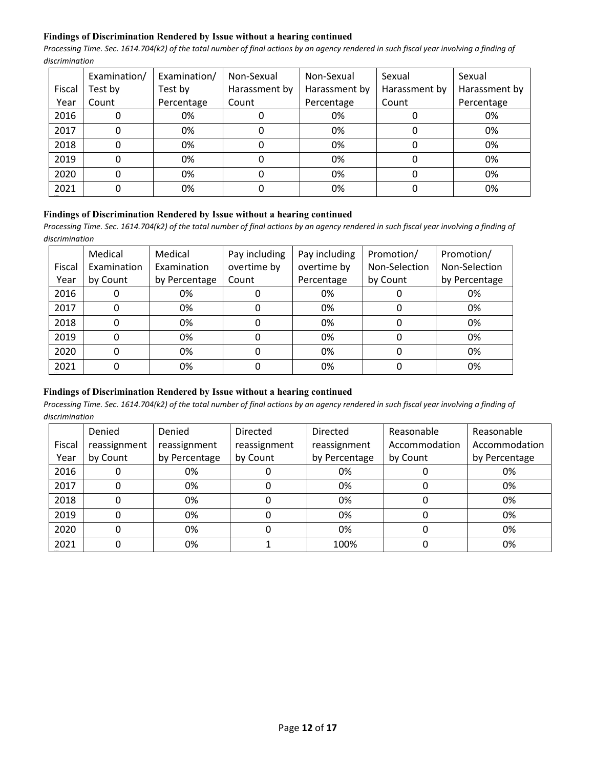## **Findings of Discrimination Rendered by Issue without a hearing continued**

*Processing Time. Sec. 1614.704(k2) of the total number of final actions by an agency rendered in such fiscal year involving a finding of discrimination*

|        | Examination/ | Examination/ | Non-Sexual    | Non-Sexual    | Sexual        | Sexual        |
|--------|--------------|--------------|---------------|---------------|---------------|---------------|
| Fiscal | Test by      | Test by      | Harassment by | Harassment by | Harassment by | Harassment by |
| Year   | Count        | Percentage   | Count         | Percentage    | Count         | Percentage    |
| 2016   |              | 0%           |               | 0%            |               | 0%            |
| 2017   |              | 0%           |               | 0%            |               | 0%            |
| 2018   | 0            | 0%           | 0             | 0%            |               | 0%            |
| 2019   |              | 0%           |               | 0%            |               | 0%            |
| 2020   |              | 0%           |               | 0%            |               | 0%            |
| 2021   |              | 0%           |               | 0%            |               | 0%            |

#### **Findings of Discrimination Rendered by Issue without a hearing continued**

*Processing Time. Sec. 1614.704(k2) of the total number of final actions by an agency rendered in such fiscal year involving a finding of discrimination*

|        | Medical     | Medical       | Pay including | Pay including | Promotion/    | Promotion/    |
|--------|-------------|---------------|---------------|---------------|---------------|---------------|
| Fiscal | Examination | Examination   | overtime by   | overtime by   | Non-Selection | Non-Selection |
| Year   | by Count    | by Percentage | Count         | Percentage    | by Count      | by Percentage |
| 2016   |             | 0%            |               | 0%            |               | 0%            |
| 2017   |             | 0%            |               | 0%            | 0             | 0%            |
| 2018   |             | 0%            | O             | 0%            | 0             | 0%            |
| 2019   |             | 0%            |               | 0%            | 0             | 0%            |
| 2020   |             | 0%            |               | 0%            | 0             | 0%            |
| 2021   |             | 0%            |               | 0%            |               | 0%            |

# **Findings of Discrimination Rendered by Issue without a hearing continued**

|        | Denied       | Denied        | <b>Directed</b> | <b>Directed</b> | Reasonable    | Reasonable    |
|--------|--------------|---------------|-----------------|-----------------|---------------|---------------|
| Fiscal | reassignment | reassignment  | reassignment    | reassignment    | Accommodation | Accommodation |
| Year   | by Count     | by Percentage | by Count        | by Percentage   | by Count      | by Percentage |
| 2016   | 0            | 0%            |                 | 0%              |               | 0%            |
| 2017   | 0            | 0%            | 0               | 0%              |               | 0%            |
| 2018   | 0            | 0%            |                 | 0%              |               | 0%            |
| 2019   | 0            | 0%            |                 | 0%              |               | 0%            |
| 2020   | 0            | 0%            |                 | 0%              |               | 0%            |
| 2021   | 0            | 0%            |                 | 100%            |               | 0%            |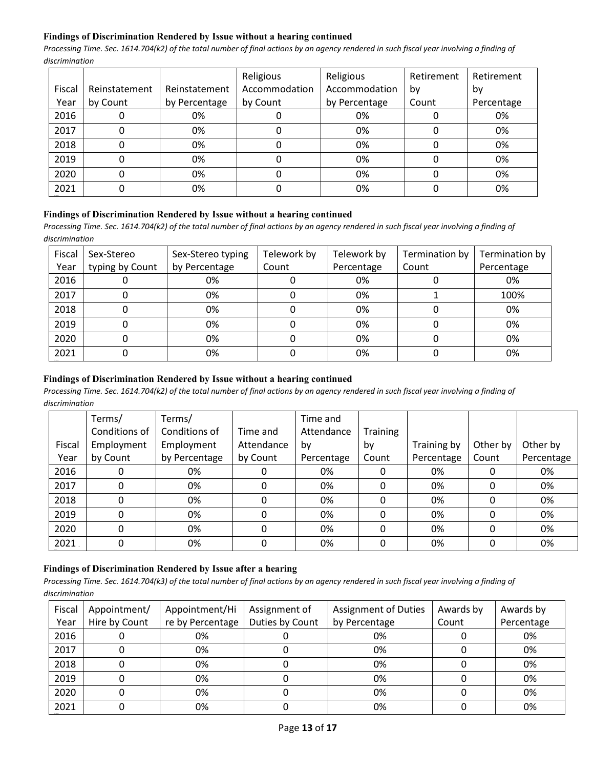# **Findings of Discrimination Rendered by Issue without a hearing continued**

*Processing Time. Sec. 1614.704(k2) of the total number of final actions by an agency rendered in such fiscal year involving a finding of discrimination*

|        |               |               | Religious     | Religious     | Retirement | Retirement |
|--------|---------------|---------------|---------------|---------------|------------|------------|
| Fiscal | Reinstatement | Reinstatement | Accommodation | Accommodation | bv         | by         |
| Year   | by Count      | by Percentage | by Count      | by Percentage | Count      | Percentage |
| 2016   |               | 0%            |               | 0%            |            | 0%         |
| 2017   |               | 0%            |               | 0%            |            | 0%         |
| 2018   |               | 0%            |               | 0%            |            | 0%         |
| 2019   |               | 0%            |               | 0%            |            | 0%         |
| 2020   |               | 0%            |               | 0%            |            | 0%         |
| 2021   |               | 0%            |               | 0%            |            | 0%         |

#### **Findings of Discrimination Rendered by Issue without a hearing continued**

*Processing Time. Sec. 1614.704(k2) of the total number of final actions by an agency rendered in such fiscal year involving a finding of discrimination*

| Fiscal | Sex-Stereo      | Sex-Stereo typing | Telework by | Telework by | Termination by | Termination by |
|--------|-----------------|-------------------|-------------|-------------|----------------|----------------|
| Year   | typing by Count | by Percentage     | Count       | Percentage  | Count          | Percentage     |
| 2016   |                 | 0%                |             | 0%          |                | 0%             |
| 2017   |                 | 0%                |             | 0%          |                | 100%           |
| 2018   |                 | 0%                |             | 0%          |                | 0%             |
| 2019   |                 | 0%                |             | 0%          |                | 0%             |
| 2020   |                 | 0%                |             | 0%          |                | 0%             |
| 2021   |                 | 0%                |             | 0%          |                | 0%             |

## **Findings of Discrimination Rendered by Issue without a hearing continued**

*Processing Time. Sec. 1614.704(k2) of the total number of final actions by an agency rendered in such fiscal year involving a finding of discrimination*

|        | Terms/        | Terms/        |            | Time and   |          |             |          |            |
|--------|---------------|---------------|------------|------------|----------|-------------|----------|------------|
|        | Conditions of | Conditions of | Time and   | Attendance | Training |             |          |            |
| Fiscal | Employment    | Employment    | Attendance | by         | by       | Training by | Other by | Other by   |
| Year   | by Count      | by Percentage | by Count   | Percentage | Count    | Percentage  | Count    | Percentage |
| 2016   | 0             | 0%            | 0          | 0%         |          | 0%          | 0        | 0%         |
| 2017   | 0             | 0%            | 0          | 0%         | 0        | 0%          | 0        | 0%         |
| 2018   | 0             | 0%            | 0          | 0%         | 0        | 0%          | 0        | 0%         |
| 2019   | 0             | 0%            | 0          | 0%         | 0        | 0%          | 0        | 0%         |
| 2020   | 0             | 0%            | 0          | 0%         | 0        | 0%          | 0        | 0%         |
| 2021   | 0             | 0%            | 0          | 0%         | 0        | 0%          | 0        | 0%         |

# **Findings of Discrimination Rendered by Issue after a hearing**

| Fiscal | Appointment/  | Appointment/Hi   | Assignment of   | <b>Assignment of Duties</b> | Awards by | Awards by  |
|--------|---------------|------------------|-----------------|-----------------------------|-----------|------------|
| Year   | Hire by Count | re by Percentage | Duties by Count | by Percentage               | Count     | Percentage |
| 2016   |               | 0%               |                 | 0%                          |           | 0%         |
| 2017   |               | 0%               |                 | 0%                          |           | 0%         |
| 2018   |               | 0%               |                 | 0%                          |           | 0%         |
| 2019   |               | 0%               |                 | 0%                          |           | 0%         |
| 2020   |               | 0%               |                 | 0%                          |           | 0%         |
| 2021   |               | 0%               |                 | 0%                          |           | 0%         |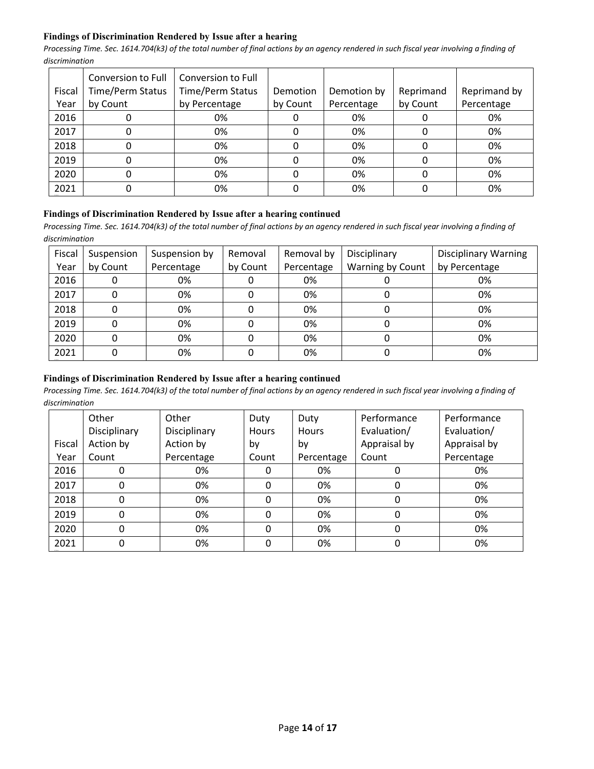# **Findings of Discrimination Rendered by Issue after a hearing**

*Processing Time. Sec. 1614.704(k3) of the total number of final actions by an agency rendered in such fiscal year involving a finding of discrimination*

|        | Conversion to Full      | Conversion to Full |          |             |           |              |
|--------|-------------------------|--------------------|----------|-------------|-----------|--------------|
| Fiscal | <b>Time/Perm Status</b> | Time/Perm Status   | Demotion | Demotion by | Reprimand | Reprimand by |
| Year   | by Count                | by Percentage      | by Count | Percentage  | by Count  | Percentage   |
| 2016   | υ                       | 0%                 | υ        | 0%          |           | 0%           |
| 2017   | 0                       | 0%                 | 0        | 0%          |           | 0%           |
| 2018   | 0                       | 0%                 | 0        | 0%          |           | 0%           |
| 2019   | 0                       | 0%                 | 0        | 0%          |           | 0%           |
| 2020   | 0                       | 0%                 | 0        | 0%          |           | 0%           |
| 2021   | 0                       | 0%                 |          | 0%          |           | 0%           |

# **Findings of Discrimination Rendered by Issue after a hearing continued**

Processing Time. Sec. 1614.704(k3) of the total number of final actions by an agency rendered in such fiscal year involving a finding of *discrimination*

| Fiscal<br>Year | Suspension<br>by Count | Suspension by<br>Percentage | Removal<br>by Count | Removal by<br>Percentage | Disciplinary<br>Warning by Count | <b>Disciplinary Warning</b><br>by Percentage |
|----------------|------------------------|-----------------------------|---------------------|--------------------------|----------------------------------|----------------------------------------------|
| 2016           | 0                      | 0%                          |                     | 0%                       |                                  | 0%                                           |
| 2017           | 0                      | 0%                          |                     | 0%                       |                                  | 0%                                           |
| 2018           |                        | 0%                          |                     | 0%                       |                                  | 0%                                           |
| 2019           | 0                      | 0%                          |                     | 0%                       |                                  | 0%                                           |
| 2020           | 0                      | 0%                          |                     | 0%                       |                                  | 0%                                           |
| 2021           | 0                      | 0%                          |                     | 0%                       |                                  | 0%                                           |

## **Findings of Discrimination Rendered by Issue after a hearing continued**

|        | Other        | Other        | Duty         | Duty         | Performance  | Performance  |
|--------|--------------|--------------|--------------|--------------|--------------|--------------|
|        | Disciplinary | Disciplinary | <b>Hours</b> | <b>Hours</b> | Evaluation/  | Evaluation/  |
| Fiscal | Action by    | Action by    | by           | by           | Appraisal by | Appraisal by |
| Year   | Count        | Percentage   | Count        | Percentage   | Count        | Percentage   |
| 2016   |              | 0%           | 0            | 0%           |              | 0%           |
| 2017   |              | 0%           | 0            | 0%           | 0            | 0%           |
| 2018   | $\Omega$     | 0%           | 0            | 0%           | 0            | 0%           |
| 2019   | $\Omega$     | 0%           | 0            | 0%           | 0            | 0%           |
| 2020   |              | 0%           | 0            | 0%           | 0            | 0%           |
| 2021   | 0            | 0%           | 0            | 0%           |              | 0%           |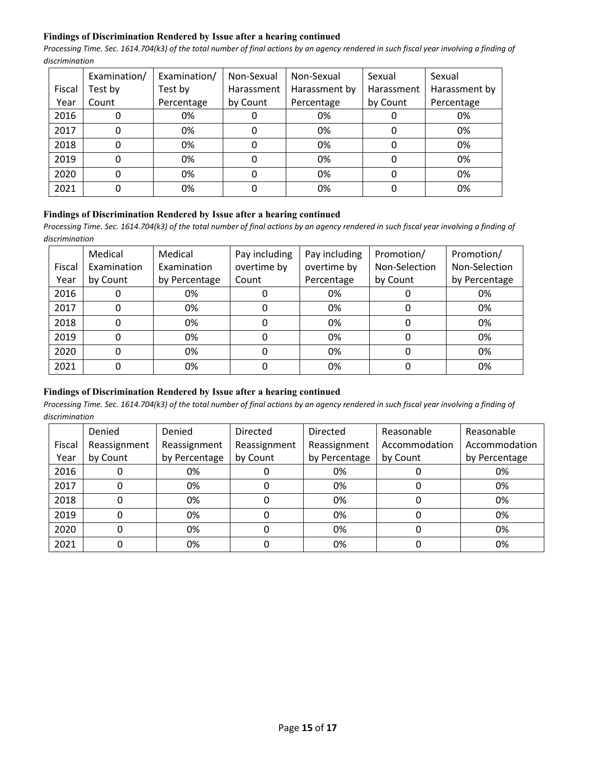## **Findings of Discrimination Rendered by Issue after a hearing continued**

*Processing Time. Sec. 1614.704(k3) of the total number of final actions by an agency rendered in such fiscal year involving a finding of discrimination*

|        | Examination/ | Examination/ | Non-Sexual | Non-Sexual    | Sexual     | Sexual        |
|--------|--------------|--------------|------------|---------------|------------|---------------|
| Fiscal | Test by      | Test by      | Harassment | Harassment by | Harassment | Harassment by |
| Year   | Count        | Percentage   | by Count   | Percentage    | by Count   | Percentage    |
| 2016   |              | 0%           |            | 0%            |            | 0%            |
| 2017   |              | 0%           |            | 0%            |            | 0%            |
| 2018   |              | 0%           |            | 0%            |            | 0%            |
| 2019   |              | 0%           |            | 0%            |            | 0%            |
| 2020   |              | 0%           |            | 0%            |            | 0%            |
| 2021   |              | 0%           |            | 0%            |            | 0%            |

#### **Findings of Discrimination Rendered by Issue after a hearing continued**

*Processing Time. Sec. 1614.704(k3) of the total number of final actions by an agency rendered in such fiscal year involving a finding of discrimination*

|        | Medical     | Medical       | Pay including | Pay including | Promotion/    | Promotion/    |
|--------|-------------|---------------|---------------|---------------|---------------|---------------|
| Fiscal | Examination | Examination   | overtime by   | overtime by   | Non-Selection | Non-Selection |
| Year   | by Count    | by Percentage | Count         | Percentage    | by Count      | by Percentage |
| 2016   |             | 0%            |               | 0%            |               | 0%            |
| 2017   |             | 0%            |               | 0%            |               | 0%            |
| 2018   |             | 0%            | 0             | 0%            | 0             | 0%            |
| 2019   |             | 0%            | 0             | 0%            | 0             | 0%            |
| 2020   |             | 0%            | 0             | 0%            | 0             | 0%            |
| 2021   |             | 0%            |               | 0%            |               | 0%            |

# **Findings of Discrimination Rendered by Issue after a hearing continued**

|        | Denied       | Denied        | <b>Directed</b> | Directed      | Reasonable    | Reasonable    |
|--------|--------------|---------------|-----------------|---------------|---------------|---------------|
| Fiscal | Reassignment | Reassignment  | Reassignment    | Reassignment  | Accommodation | Accommodation |
| Year   | by Count     | by Percentage | by Count        | by Percentage | by Count      | by Percentage |
| 2016   |              | 0%            |                 | 0%            |               | 0%            |
| 2017   |              | 0%            |                 | 0%            |               | 0%            |
| 2018   |              | 0%            |                 | 0%            |               | 0%            |
| 2019   |              | 0%            |                 | 0%            | O             | 0%            |
| 2020   |              | 0%            |                 | 0%            |               | 0%            |
| 2021   |              | 0%            |                 | 0%            |               | 0%            |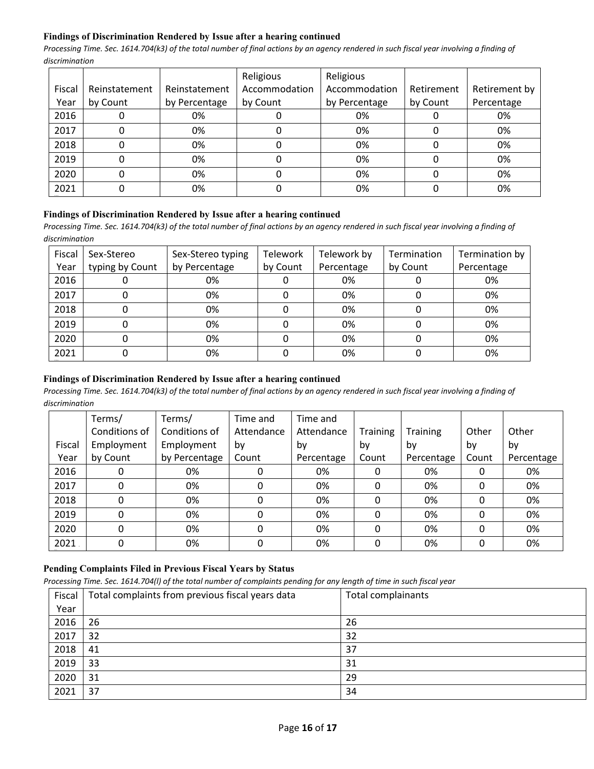## **Findings of Discrimination Rendered by Issue after a hearing continued**

*Processing Time. Sec. 1614.704(k3) of the total number of final actions by an agency rendered in such fiscal year involving a finding of discrimination*

|        |               |               | Religious     | Religious     |            |               |
|--------|---------------|---------------|---------------|---------------|------------|---------------|
| Fiscal | Reinstatement | Reinstatement | Accommodation | Accommodation | Retirement | Retirement by |
| Year   | by Count      | by Percentage | by Count      | by Percentage | by Count   | Percentage    |
| 2016   |               | 0%            |               | 0%            |            | 0%            |
| 2017   |               | 0%            |               | 0%            |            | 0%            |
| 2018   |               | 0%            |               | 0%            |            | 0%            |
| 2019   |               | 0%            |               | 0%            |            | 0%            |
| 2020   |               | 0%            |               | 0%            |            | 0%            |
| 2021   |               | 0%            |               | 0%            |            | 0%            |

#### **Findings of Discrimination Rendered by Issue after a hearing continued**

*Processing Time. Sec. 1614.704(k3) of the total number of final actions by an agency rendered in such fiscal year involving a finding of discrimination*

| Fiscal | Sex-Stereo      | Sex-Stereo typing | Telework | Telework by | Termination | Termination by |
|--------|-----------------|-------------------|----------|-------------|-------------|----------------|
| Year   | typing by Count | by Percentage     | by Count | Percentage  | by Count    | Percentage     |
| 2016   |                 | 0%                |          | 0%          |             | 0%             |
| 2017   |                 | 0%                |          | 0%          |             | 0%             |
| 2018   |                 | 0%                |          | 0%          |             | 0%             |
| 2019   |                 | 0%                |          | 0%          |             | 0%             |
| 2020   |                 | 0%                |          | 0%          |             | 0%             |
| 2021   |                 | 0%                |          | 0%          |             | 0%             |

## **Findings of Discrimination Rendered by Issue after a hearing continued**

*Processing Time. Sec. 1614.704(k3) of the total number of final actions by an agency rendered in such fiscal year involving a finding of discrimination*

|        | Terms/        | Terms/        | Time and   | Time and   |          |            |       |            |
|--------|---------------|---------------|------------|------------|----------|------------|-------|------------|
|        | Conditions of | Conditions of | Attendance | Attendance | Training | Training   | Other | Other      |
| Fiscal | Employment    | Employment    | by         | by         | by       | by         | by    | by         |
| Year   | by Count      | by Percentage | Count      | Percentage | Count    | Percentage | Count | Percentage |
| 2016   | 0             | 0%            |            | 0%         | 0        | 0%         |       | 0%         |
| 2017   | 0             | 0%            | 0          | 0%         | $\Omega$ | 0%         | Ω     | 0%         |
| 2018   | 0             | 0%            | 0          | 0%         | 0        | 0%         |       | 0%         |
| 2019   | 0             | 0%            | 0          | 0%         | 0        | 0%         |       | 0%         |
| 2020   | 0             | 0%            | 0          | 0%         | 0        | 0%         |       | 0%         |
| 2021   | 0             | 0%            |            | 0%         | 0        | 0%         |       | 0%         |

# **Pending Complaints Filed in Previous Fiscal Years by Status**

*Processing Time. Sec. 1614.704(l) of the total number of complaints pending for any length of time in such fiscal year*

| Fiscal | Total complaints from previous fiscal years data | Total complainants |
|--------|--------------------------------------------------|--------------------|
| Year   |                                                  |                    |
| 2016   | 26                                               | 26                 |
| 2017   | 32                                               | 32                 |
| 2018   | 41                                               | 37                 |
| 2019   | 33                                               | 31                 |
| 2020   | 31                                               | 29                 |
| 2021   | 37                                               | 34                 |